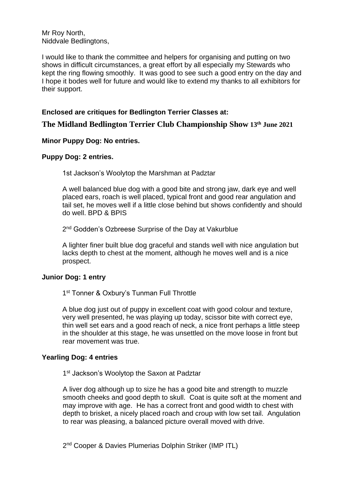Mr Roy North, Niddvale Bedlingtons,

I would like to thank the committee and helpers for organising and putting on two shows in difficult circumstances, a great effort by all especially my Stewards who kept the ring flowing smoothly. It was good to see such a good entry on the day and I hope it bodes well for future and would like to extend my thanks to all exhibitors for their support.

# **Enclosed are critiques for Bedlington Terrier Classes at:**

**The Midland Bedlington Terrier Club Championship Show 13th June 2021**

#### **Minor Puppy Dog: No entries.**

#### **Puppy Dog: 2 entries.**

1st Jackson's Woolytop the Marshman at Padztar

A well balanced blue dog with a good bite and strong jaw, dark eye and well placed ears, roach is well placed, typical front and good rear angulation and tail set, he moves well if a little close behind but shows confidently and should do well. BPD & BPIS

2<sup>nd</sup> Godden's Ozbreese Surprise of the Day at Vakurblue

A lighter finer built blue dog graceful and stands well with nice angulation but lacks depth to chest at the moment, although he moves well and is a nice prospect.

#### **Junior Dog: 1 entry**

1<sup>st</sup> Tonner & Oxbury's Tunman Full Throttle

A blue dog just out of puppy in excellent coat with good colour and texture, very well presented, he was playing up today, scissor bite with correct eye, thin well set ears and a good reach of neck, a nice front perhaps a little steep in the shoulder at this stage, he was unsettled on the move loose in front but rear movement was true.

## **Yearling Dog: 4 entries**

1<sup>st</sup> Jackson's Woolytop the Saxon at Padztar

A liver dog although up to size he has a good bite and strength to muzzle smooth cheeks and good depth to skull. Coat is quite soft at the moment and may improve with age. He has a correct front and good width to chest with depth to brisket, a nicely placed roach and croup with low set tail. Angulation to rear was pleasing, a balanced picture overall moved with drive.

2<sup>nd</sup> Cooper & Davies Plumerias Dolphin Striker (IMP ITL)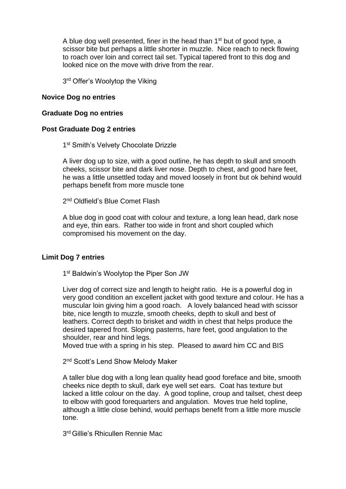A blue dog well presented, finer in the head than 1<sup>st</sup> but of good type, a scissor bite but perhaps a little shorter in muzzle. Nice reach to neck flowing to roach over loin and correct tail set. Typical tapered front to this dog and looked nice on the move with drive from the rear.

3<sup>rd</sup> Offer's Woolytop the Viking

#### **Novice Dog no entries**

#### **Graduate Dog no entries**

#### **Post Graduate Dog 2 entries**

1<sup>st</sup> Smith's Velvety Chocolate Drizzle

A liver dog up to size, with a good outline, he has depth to skull and smooth cheeks, scissor bite and dark liver nose. Depth to chest, and good hare feet, he was a little unsettled today and moved loosely in front but ok behind would perhaps benefit from more muscle tone

2<sup>nd</sup> Oldfield's Blue Comet Flash

A blue dog in good coat with colour and texture, a long lean head, dark nose and eye, thin ears. Rather too wide in front and short coupled which compromised his movement on the day.

#### **Limit Dog 7 entries**

1<sup>st</sup> Baldwin's Woolytop the Piper Son JW

Liver dog of correct size and length to height ratio. He is a powerful dog in very good condition an excellent jacket with good texture and colour. He has a muscular loin giving him a good roach. A lovely balanced head with scissor bite, nice length to muzzle, smooth cheeks, depth to skull and best of leathers. Correct depth to brisket and width in chest that helps produce the desired tapered front. Sloping pasterns, hare feet, good angulation to the shoulder, rear and hind legs.

Moved true with a spring in his step. Pleased to award him CC and BIS

2<sup>nd</sup> Scott's Lend Show Melody Maker

A taller blue dog with a long lean quality head good foreface and bite, smooth cheeks nice depth to skull, dark eye well set ears. Coat has texture but lacked a little colour on the day. A good topline, croup and tailset, chest deep to elbow with good forequarters and angulation. Moves true held topline, although a little close behind, would perhaps benefit from a little more muscle tone.

3 rd Gillie's Rhicullen Rennie Mac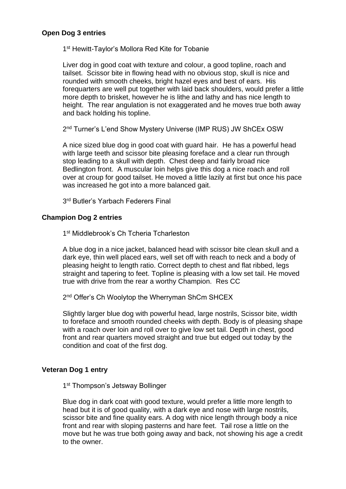## **Open Dog 3 entries**

1<sup>st</sup> Hewitt-Taylor's Mollora Red Kite for Tobanie

Liver dog in good coat with texture and colour, a good topline, roach and tailset. Scissor bite in flowing head with no obvious stop, skull is nice and rounded with smooth cheeks, bright hazel eyes and best of ears. His forequarters are well put together with laid back shoulders, would prefer a little more depth to brisket, however he is lithe and lathy and has nice length to height. The rear angulation is not exaggerated and he moves true both away and back holding his topline.

2<sup>nd</sup> Turner's L'end Show Mystery Universe (IMP RUS) JW ShCEx OSW

A nice sized blue dog in good coat with guard hair. He has a powerful head with large teeth and scissor bite pleasing foreface and a clear run through stop leading to a skull with depth. Chest deep and fairly broad nice Bedlington front. A muscular loin helps give this dog a nice roach and roll over at croup for good tailset. He moved a little lazily at first but once his pace was increased he got into a more balanced gait.

3<sup>rd</sup> Butler's Yarbach Federers Final

## **Champion Dog 2 entries**

1<sup>st</sup> Middlebrook's Ch Tcheria Tcharleston

A blue dog in a nice jacket, balanced head with scissor bite clean skull and a dark eye, thin well placed ears, well set off with reach to neck and a body of pleasing height to length ratio. Correct depth to chest and flat ribbed, legs straight and tapering to feet. Topline is pleasing with a low set tail. He moved true with drive from the rear a worthy Champion. Res CC

2<sup>nd</sup> Offer's Ch Woolytop the Wherryman ShCm SHCEX

Slightly larger blue dog with powerful head, large nostrils, Scissor bite, width to foreface and smooth rounded cheeks with depth. Body is of pleasing shape with a roach over loin and roll over to give low set tail. Depth in chest, good front and rear quarters moved straight and true but edged out today by the condition and coat of the first dog.

## **Veteran Dog 1 entry**

1<sup>st</sup> Thompson's Jetsway Bollinger

Blue dog in dark coat with good texture, would prefer a little more length to head but it is of good quality, with a dark eye and nose with large nostrils, scissor bite and fine quality ears. A dog with nice length through body a nice front and rear with sloping pasterns and hare feet. Tail rose a little on the move but he was true both going away and back, not showing his age a credit to the owner.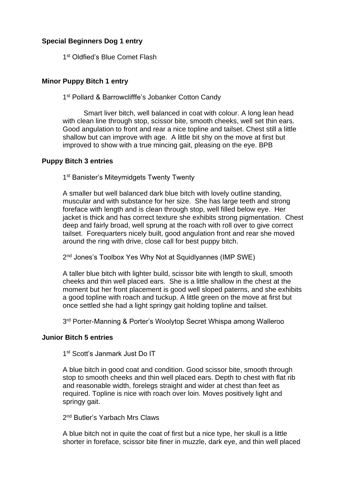# **Special Beginners Dog 1 entry**

1<sup>st</sup> Oldfied's Blue Comet Flash

## **Minor Puppy Bitch 1 entry**

1<sup>st</sup> Pollard & Barrowclifffe's Jobanker Cotton Candy

Smart liver bitch, well balanced in coat with colour. A long lean head with clean line through stop, scissor bite, smooth cheeks, well set thin ears. Good angulation to front and rear a nice topline and tailset. Chest still a little shallow but can improve with age. A little bit shy on the move at first but improved to show with a true mincing gait, pleasing on the eye. BPB

#### **Puppy Bitch 3 entries**

1<sup>st</sup> Banister's Miteymidgets Twenty Twenty

A smaller but well balanced dark blue bitch with lovely outline standing, muscular and with substance for her size. She has large teeth and strong foreface with length and is clean through stop, well filled below eye. Her jacket is thick and has correct texture she exhibits strong pigmentation. Chest deep and fairly broad, well sprung at the roach with roll over to give correct tailset. Forequarters nicely built, good angulation front and rear she moved around the ring with drive, close call for best puppy bitch.

2<sup>nd</sup> Jones's Toolbox Yes Why Not at Squidlyannes (IMP SWE)

A taller blue bitch with lighter build, scissor bite with length to skull, smooth cheeks and thin well placed ears. She is a little shallow in the chest at the moment but her front placement is good well sloped paterns, and she exhibits a good topline with roach and tuckup. A little green on the move at first but once settled she had a light springy gait holding topline and tailset.

3<sup>rd</sup> Porter-Manning & Porter's Woolytop Secret Whispa among Walleroo

#### **Junior Bitch 5 entries**

1<sup>st</sup> Scott's Janmark Just Do IT

A blue bitch in good coat and condition. Good scissor bite, smooth through stop to smooth cheeks and thin well placed ears. Depth to chest with flat rib and reasonable width, forelegs straight and wider at chest than feet as required. Topline is nice with roach over loin. Moves positively light and springy gait.

2<sup>nd</sup> Butler's Yarbach Mrs Claws

A blue bitch not in quite the coat of first but a nice type, her skull is a little shorter in foreface, scissor bite finer in muzzle, dark eye, and thin well placed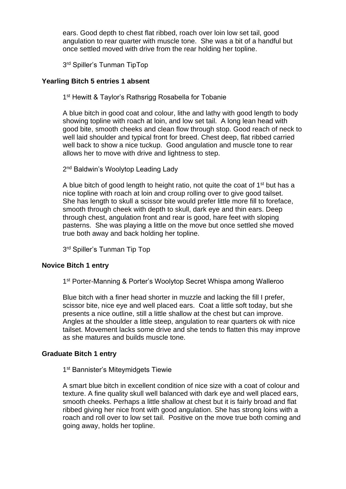ears. Good depth to chest flat ribbed, roach over loin low set tail, good angulation to rear quarter with muscle tone. She was a bit of a handful but once settled moved with drive from the rear holding her topline.

3<sup>rd</sup> Spiller's Tunman TipTop

# **Yearling Bitch 5 entries 1 absent**

1<sup>st</sup> Hewitt & Taylor's Rathsrigg Rosabella for Tobanie

A blue bitch in good coat and colour, lithe and lathy with good length to body showing topline with roach at loin, and low set tail. A long lean head with good bite, smooth cheeks and clean flow through stop. Good reach of neck to well laid shoulder and typical front for breed. Chest deep, flat ribbed carried well back to show a nice tuckup. Good angulation and muscle tone to rear allows her to move with drive and lightness to step.

2<sup>nd</sup> Baldwin's Woolytop Leading Lady

A blue bitch of good length to height ratio, not quite the coat of  $1<sup>st</sup>$  but has a nice topline with roach at loin and croup rolling over to give good tailset. She has length to skull a scissor bite would prefer little more fill to foreface, smooth through cheek with depth to skull, dark eye and thin ears. Deep through chest, angulation front and rear is good, hare feet with sloping pasterns. She was playing a little on the move but once settled she moved true both away and back holding her topline.

3<sup>rd</sup> Spiller's Tunman Tip Top

# **Novice Bitch 1 entry**

1<sup>st</sup> Porter-Manning & Porter's Woolytop Secret Whispa among Walleroo

Blue bitch with a finer head shorter in muzzle and lacking the fill I prefer, scissor bite, nice eye and well placed ears. Coat a little soft today, but she presents a nice outline, still a little shallow at the chest but can improve. Angles at the shoulder a little steep, angulation to rear quarters ok with nice tailset. Movement lacks some drive and she tends to flatten this may improve as she matures and builds muscle tone.

## **Graduate Bitch 1 entry**

1<sup>st</sup> Bannister's Miteymidgets Tiewie

A smart blue bitch in excellent condition of nice size with a coat of colour and texture. A fine quality skull well balanced with dark eye and well placed ears, smooth cheeks. Perhaps a little shallow at chest but it is fairly broad and flat ribbed giving her nice front with good angulation. She has strong loins with a roach and roll over to low set tail. Positive on the move true both coming and going away, holds her topline.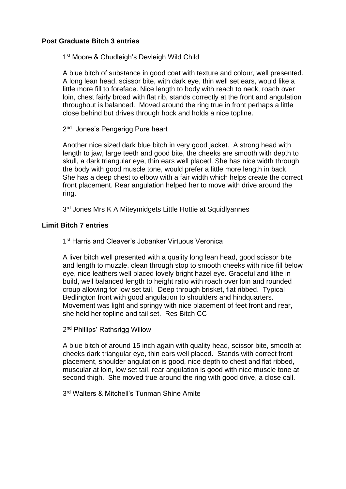## **Post Graduate Bitch 3 entries**

1<sup>st</sup> Moore & Chudleigh's Devleigh Wild Child

A blue bitch of substance in good coat with texture and colour, well presented. A long lean head, scissor bite, with dark eye, thin well set ears, would like a little more fill to foreface. Nice length to body with reach to neck, roach over loin, chest fairly broad with flat rib, stands correctly at the front and angulation throughout is balanced. Moved around the ring true in front perhaps a little close behind but drives through hock and holds a nice topline.

2<sup>nd</sup> Jones's Pengerigg Pure heart

Another nice sized dark blue bitch in very good jacket. A strong head with length to jaw, large teeth and good bite, the cheeks are smooth with depth to skull, a dark triangular eye, thin ears well placed. She has nice width through the body with good muscle tone, would prefer a little more length in back. She has a deep chest to elbow with a fair width which helps create the correct front placement. Rear angulation helped her to move with drive around the ring.

3<sup>rd</sup> Jones Mrs K A Miteymidgets Little Hottie at Squidlyannes

## **Limit Bitch 7 entries**

1<sup>st</sup> Harris and Cleaver's Jobanker Virtuous Veronica

A liver bitch well presented with a quality long lean head, good scissor bite and length to muzzle, clean through stop to smooth cheeks with nice fill below eye, nice leathers well placed lovely bright hazel eye. Graceful and lithe in build, well balanced length to height ratio with roach over loin and rounded croup allowing for low set tail. Deep through brisket, flat ribbed. Typical Bedlington front with good angulation to shoulders and hindquarters. Movement was light and springy with nice placement of feet front and rear, she held her topline and tail set. Res Bitch CC

2<sup>nd</sup> Phillips' Rathsrigg Willow

A blue bitch of around 15 inch again with quality head, scissor bite, smooth at cheeks dark triangular eye, thin ears well placed. Stands with correct front placement, shoulder angulation is good, nice depth to chest and flat ribbed, muscular at loin, low set tail, rear angulation is good with nice muscle tone at second thigh. She moved true around the ring with good drive, a close call.

3<sup>rd</sup> Walters & Mitchell's Tunman Shine Amite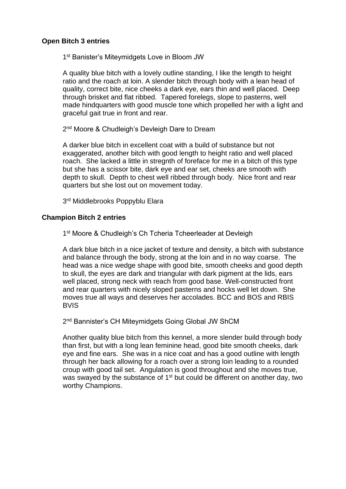#### **Open Bitch 3 entries**

1<sup>st</sup> Banister's Miteymidgets Love in Bloom JW

A quality blue bitch with a lovely outline standing, I like the length to height ratio and the roach at loin. A slender bitch through body with a lean head of quality, correct bite, nice cheeks a dark eye, ears thin and well placed. Deep through brisket and flat ribbed. Tapered forelegs, slope to pasterns, well made hindquarters with good muscle tone which propelled her with a light and graceful gait true in front and rear.

2<sup>nd</sup> Moore & Chudleigh's Devleigh Dare to Dream

A darker blue bitch in excellent coat with a build of substance but not exaggerated, another bitch with good length to height ratio and well placed roach. She lacked a little in stregnth of foreface for me in a bitch of this type but she has a scissor bite, dark eye and ear set, cheeks are smooth with depth to skull. Depth to chest well ribbed through body. Nice front and rear quarters but she lost out on movement today.

3<sup>rd</sup> Middlebrooks Poppyblu Elara

## **Champion Bitch 2 entries**

1<sup>st</sup> Moore & Chudleigh's Ch Tcheria Tcheerleader at Devleigh

A dark blue bitch in a nice jacket of texture and density, a bitch with substance and balance through the body, strong at the loin and in no way coarse. The head was a nice wedge shape with good bite, smooth cheeks and good depth to skull, the eyes are dark and triangular with dark pigment at the lids, ears well placed, strong neck with reach from good base. Well-constructed front and rear quarters with nicely sloped pasterns and hocks well let down. She moves true all ways and deserves her accolades. BCC and BOS and RBIS BVIS

2<sup>nd</sup> Bannister's CH Miteymidgets Going Global JW ShCM

Another quality blue bitch from this kennel, a more slender build through body than first, but with a long lean feminine head, good bite smooth cheeks, dark eye and fine ears. She was in a nice coat and has a good outline with length through her back allowing for a roach over a strong loin leading to a rounded croup with good tail set. Angulation is good throughout and she moves true, was swayed by the substance of 1<sup>st</sup> but could be different on another day, two worthy Champions.